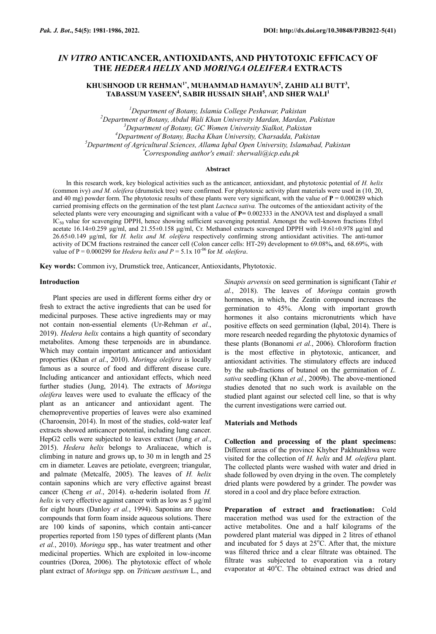# *IN VITRO* **ANTICANCER, ANTIOXIDANTS, AND PHYTOTOXIC EFFICACY OF THE** *HEDERA HELIX* **AND** *MORINGA OLEIFERA* **EXTRACTS**

**KHUSHNOOD UR REHMAN1\*, MUHAMMAD HAMAYUN<sup>2</sup> , ZAHID ALI BUTT<sup>3</sup> , TABASSUM YASEEN<sup>4</sup> , SABIR HUSSAIN SHAH<sup>5</sup> , AND SHER WALI<sup>1</sup>**

*Department of Botany, Islamia College Peshawar, Pakistan Department of Botany, Abdul Wali Khan University Mardan, Mardan, Pakistan Department of Botany, GC Women University Sialkot, Pakistan Department of Botany, Bacha Khan University, Charsadda, Pakistan Department of Agricultural Sciences, Allama Iqbal Open University, Islamabad, Pakistan* \**Corresponding author's email: sherwali@icp.edu.pk*

#### **Abstract**

In this research work, key biological activities such as the anticancer, antioxidant, and phytotoxic potential of *H. helix*  (common ivy) *and M. oleifera* (drumstick tree) were confirmed. For phytotoxic activity plant materials were used in (10, 20, and 40 mg) powder form. The phytotoxic results of these plants were very significant, with the value of  $P = 0.000289$  which carried promising effects on the germination of the test plant *Lactuca sativa.* The outcomes of the antioxidant activity of the selected plants were very encouraging and significant with a value of **P=** 0.002333 in the ANOVA test and displayed a small IC<sub>50</sub> value for scavenging DPPH, hence showing sufficient scavenging potential. Amongst the well-known fractions Ethyl acetate 16.14±0.259 μg/ml, and 21.55±0.158 μg/ml, Cr. Methanol extracts scavenged DPPH with 19.61±0.978 μg/ml and 26.65±0.149 μg/ml, for *H. helix and M. oleifera* respectively confirming strong antioxidant activities. The anti-tumor activity of DCM fractions restrained the cancer cell (Colon cancer cells: HT-29) development to 69.08%**,** and*,* 68.69%, with value of P = 0.000299 for *Hedera helix and P* = 5.1x  $10^{-06}$  for *M. oleifera.* 

**Key words:** Common ivy, Drumstick tree, Anticancer, Antioxidants, Phytotoxic.

## **Introduction**

Plant species are used in different forms either dry or fresh to extract the active ingredients that can be used for medicinal purposes. These active ingredients may or may not contain non-essential elements (Ur-Rehman *et al.*, 2019). *Hedera helix* contains a high quantity of secondary metabolites. Among these terpenoids are in abundance. Which may contain important anticancer and antioxidant properties (Khan *et al.*, 2010). *Moringa oleifera* is locally famous as a source of food and different disease cure. Including anticancer and antioxidant effects, which need further studies (Jung, 2014). The extracts of *Moringa oleifera* leaves were used to evaluate the efficacy of the plant as an anticancer and antioxidant agent. The chemopreventive properties of leaves were also examined (Charoensin, 2014). In most of the studies, cold-water leaf extracts showed anticancer potential, including lung cancer. HepG2 cells were subjected to leaves extract (Jung *et al.*, 2015). *Hedera helix* belongs to Araliaceae, which is climbing in nature and grows up, to 30 m in length and 25 cm in diameter. Leaves are petiolate, evergreen; triangular, and palmate (Metcalfe, 2005). The leaves of *H. helix*  contain saponins which are very effective against breast cancer (Cheng *et al.*, 2014). α-hederin isolated from *H. helix* is very effective against cancer with as low as 5 µg/ml for eight hours (Danloy *et al.*, 1994). Saponins are those compounds that form foam inside aqueous solutions. There are 100 kinds of saponins, which contain anti-cancer properties reported from 150 types of different plants (Man *et al.*, 2010). *Moringa* spp., has water treatment and other medicinal properties. Which are exploited in low-income countries (Dorea, 2006). The phytotoxic effect of whole plant extract of *Moringa* spp. on *Triticum aestivum* L., and

*Sinapis arvensis* on seed germination is significant (Tahir *et al.*, 2018). The leaves of *Moringa* contain growth hormones, in which, the Zeatin compound increases the germination to 45%. Along with important growth hormones it also contains micronutrients which have positive effects on seed germination (Iqbal, 2014). There is more research needed regarding the phytotoxic dynamics of these plants (Bonanomi *et al.*, 2006). Chloroform fraction is the most effective in phytotoxic, anticancer, and antioxidant activities. The stimulatory effects are induced by the sub-fractions of butanol on the germination of *L. sativa* seedling (Khan *et al.*, 2009b). The above-mentioned studies denoted that no such work is available on the studied plant against our selected cell line, so that is why the current investigations were carried out.

#### **Materials and Methods**

**Collection and processing of the plant specimens:**  Different areas of the province Khyber Pakhtunkhwa were visited for the collection of *H. helix* and *M. oleifera* plant. The collected plants were washed with water and dried in shade followed by oven drying in the oven. The completely dried plants were powdered by a grinder. The powder was stored in a cool and dry place before extraction.

**Preparation of extract and fractionation:** Cold maceration method was used for the extraction of the active metabolites. One and a half kilograms of the powdered plant material was dipped in 2 litres of ethanol and incubated for 5 days at  $25^{\circ}$ C. After that, the mixture was filtered thrice and a clear filtrate was obtained. The filtrate was subjected to evaporation via a rotary evaporator at 40°C. The obtained extract was dried and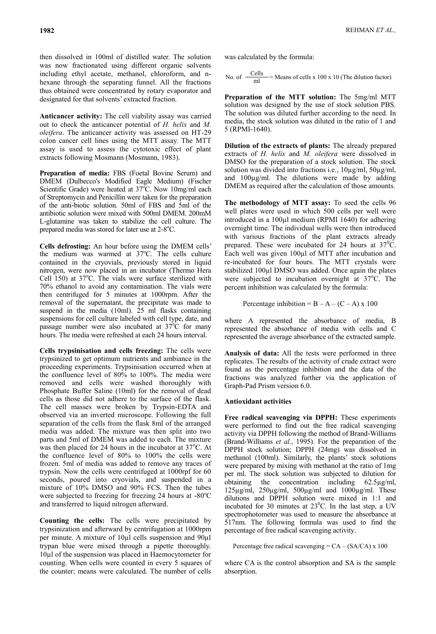then dissolved in 100ml of distilled water. The solution was now fractionated using different organic solvents including ethyl acetate, methanol, chloroform, and nhexane through the separating funnel. All the fractions thus obtained were concentrated by rotary evaporator and designated for that solvents' extracted fraction.

**Anticancer activity:** The cell viability assay was carried out to check the anticancer potential of *H. helix* and *M. oleifera*. The anticancer activity was assessed on HT-29 colon cancer cell lines using the MTT assay. The MTT assay is used to assess the cytotoxic effect of plant extracts following Mosmann (Mosmann, 1983).

**Preparation of media:** FBS (Foetal Bovine Serum) and DMEM (Dulbecco's Modified Eagle Medium) (Fischer Scientific Grade) were heated at  $37^{\circ}$ C. Now 10mg/ml each of Streptomycin and Penicillin were taken for the preparation of the anti-biotic solution. 50ml of FBS and 5ml of the antibiotic solution were mixed with 500ml DMEM. 200mM L-glutamine was taken to stabilize the cell culture. The prepared media was stored for later use at  $2-8^{\circ}$ C.

**Cells defrosting:** An hour before using the DMEM cells' the medium was warmed at  $37^{\circ}$ C. The cells culture contained in the cryovials, previously stored in liquid nitrogen, were now placed in an incubator (Thermo Hera Cell  $150$ ) at  $37^{\circ}$ C. The vials were surface sterilized with 70% ethanol to avoid any contamination. The vials were then centrifuged for 5 minutes at 1000rpm. After the removal of the supernatant, the precipitate was made to suspend in the media (10ml). 25 ml flasks containing suspensions for cell culture labeled with cell type, date, and passage number were also incubated at  $37^{\circ}$ C for many hours. The media were refreshed at each 24 hours interval.

**Cells trypsinisation and cells freezing:** The cells were trypsinized to get optimum nutrients and ambiance in the proceeding experiments. Trypsinisation occurred when at the confluence level of 80% to 100%. The media were removed and cells were washed thoroughly with Phosphate Buffer Saline (10ml) for the removal of dead cells as those did not adhere to the surface of the flask. The cell masses were broken by Trypsin-EDTA and observed via an inverted microscope. Following the full separation of the cells from the flask 8ml of the arranged media was added. The mixture was then split into two parts and 5ml of DMEM was added to each. The mixture was then placed for 24 hours in the incubator at  $37^{\circ}$ C. At the confluence level of 80% to 100% the cells were frozen. 5ml of media was added to remove any traces of trypsin. Now the cells were centrifuged at 1000rpf for 60 seconds, poured into cryovials, and suspended in a mixture of 10% DMSO and 90% FCS. Then the tubes were subjected to freezing for freezing 24 hours at  $-80^{\circ}$ C and transferred to liquid nitrogen afterward.

**Counting the cells:** The cells were precipitated by trypsinization and afterward by centrifugation at 1000rpm per minute. A mixture of 10µl cells suspension and 90µl trypan blue were mixed through a pipette thoroughly. 10µl of the suspension was placed in Haemocytometer for counting. When cells were counted in every 5 squares of the counter; means were calculated. The number of cells was calculated by the formula:

No. of  $\frac{\text{Cells}}{\text{ml}}$  = Means of cells x 100 x 10 (The dilution factor)

**Preparation of the MTT solution:** The 5mg/ml MTT solution was designed by the use of stock solution PBS. The solution was diluted further according to the need. In media, the stock solution was diluted in the ratio of 1 and 5 (RPMI-1640).

**Dilution of the extracts of plants:** The already prepared extracts of *H. helix* and *M. oleifera* were dissolved in DMSO for the preparation of a stock solution. The stock solution was divided into fractions i.e., 10µg/ml, 50µg/ml, and 100µg/ml. The dilutions were made by adding DMEM as required after the calculation of those amounts.

**The methodology of MTT assay:** To seed the cells 96 well plates were used in which 500 cells per well were introduced in a 100µl medium (RPMI 1640) for adhering overnight time. The individual wells were then introduced with various fractions of the plant extracts already prepared. These were incubated for 24 hours at  $37^{\circ}$ C. Each well was given 100µl of MTT after incubation and re-incubated for four hours. The MTT crystals were stabilized 100µl DMSO was added. Once again the plates were subjected to incubation overnight at  $37^{\circ}$ C. The percent inhibition was calculated by the formula:

Percentage inhibition =  $B - A - (C - A) \times 100$ 

where A represented the absorbance of media, B represented the absorbance of media with cells and C represented the average absorbance of the extracted sample.

**Analysis of data:** All the tests were performed in three replicates. The results of the activity of crude extract were found as the percentage inhibition and the data of the fractions was analyzed further via the application of Graph-Pad Prism version 6.0.

### **Antioxidant activities**

**Free radical scavenging via DPPH:** These experiments were performed to find out the free radical scavenging activity via DPPH following the method of Brand-Williams (Brand-Williams *et al.*, 1995). For the preparation of the DPPH stock solution; DPPH (24mg) was dissolved in methanol (100ml). Similarly, the plants' stock solutions were prepared by mixing with methanol at the ratio of 1mg per ml. The stock solution was subjected to dilution for obtaining the concentration including 62.5µg/ml, 125µg/ml, 250µg/ml, 500µg/ml and 1000µg/ml. These dilutions and DPPH solution were mixed in 1:1 and incubated for 30 minutes at  $23^{\circ}$ C. In the last step, a UV spectrophotometer was used to measure the absorbance at 517nm. The following formula was used to find the percentage of free radical scavenging activity.

Percentage free radical scavenging = CA – (SA/CA) x 100

where CA is the control absorption and SA is the sample absorption.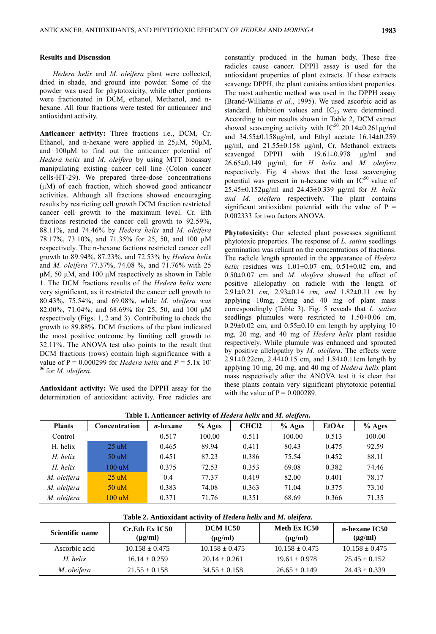## **Results and Discussion**

*Hedera helix* and *M. oleifera* plant were collected, dried in shade, and ground into powder. Some of the powder was used for phytotoxicity, while other portions were fractionated in DCM, ethanol, Methanol, and nhexane. All four fractions were tested for anticancer and antioxidant activity.

**Anticancer activity:** Three fractions i.e., DCM, Cr. Ethanol, and n-hexane were applied in 25μM, 50μM, and 100μM to find out the anticancer potential of *Hedera helix* and *M. oleifera* by using MTT bioassay manipulating existing cancer cell line (Colon cancer cells-HT-29). We prepared three-dose concentrations (μM) of each fraction, which showed good anticancer activities. Although all fractions showed encouraging results by restricting cell growth DCM fraction restricted cancer cell growth to the maximum level. Cr. Eth fractions restricted the cancer cell growth to 92.59%, 88.11%, and 74.46% by *Hedera helix* and *M. oleifera*  78.17%, 73.10%, and 71.35% for 25, 50, and 100 μM respectively. The n-hexane factions restricted cancer cell growth to 89.94%, 87.23%, and 72.53% by *Hedera helix*  and *M. oleifera* 77.37%, 74.08 %, and 71.76% with 25 μM, 50 μM, and 100 μM respectively as shown in Table 1. The DCM fractions results of the *Hedera helix* were very significant, as it restricted the cancer cell growth to 80.43%, 75.54%, and 69.08%, while *M. oleifera was*  82.00%, 71.04%, and 68.69% for 25, 50, and 100 μM respectively (Figs. 1, 2 and 3). Contributing to check the growth to 89.88%. DCM fractions of the plant indicated the most positive outcome by limiting cell growth to 32.11%. The ANOVA test also points to the result that DCM fractions (rows) contain high significance with a value of  $P = 0.000299$  for *Hedera helix* and  $P = 5.1x 10^{-1}$ <sup>06</sup> for *M. oleifera*.

**Antioxidant activity:** We used the DPPH assay for the determination of antioxidant activity. Free radicles are

constantly produced in the human body. These free radicles cause cancer. DPPH assay is used for the antioxidant properties of plant extracts. If these extracts scavenge DPPH, the plant contains antioxidant properties. The most authentic method was used in the DPPH assay (Brand-Williams *et al.*, 1995). We used ascorbic acid as standard. Inhibition values and  $IC_{50}$  were determined. According to our results shown in Table 2, DCM extract showed scavenging activity with  $IC^{50}$  20.14±0.261µg/ml and 34.55±0.158μg/ml, and Ethyl acetate 16.14±0.259 μg/ml, and 21.55±0.158 μg/ml, Cr. Methanol extracts scavenged DPPH with 19.61±0.978 μg/ml and 26.65±0.149 μg/ml, for *H. helix* and *M. oleifera*  respectively. Fig. 4 shows that the least scavenging potential was present in n-hexane with an  $IC^{50}$  value of 25.45±0.152μg/ml and 24.43±0.339 μg/ml for *H. helix and M. oleifera* respectively. The plant contains significant antioxidant potential with the value of  $P =$ 0.002333 for two factors ANOVA.

**Phytotoxicity:** Our selected plant possesses significant phytotoxic properties. The response of *L. sativa* seedlings germination was reliant on the concentrations of fractions. The radicle length sprouted in the appearance of *Hedera helix* residues was 1.01±0.07 cm, 0.51±0.02 cm, and 0.50±0.07 cm and *M. oleifera* showed the effect of positive allelopathy on radicle with the length of 2.91±0.21 *cm,* 2.93±0.14 *cm, and* 1.82±0.11 *cm* by applying 10mg, 20mg and 40 mg of plant mass correspondingly (Table 3). Fig. 5 reveals that *L. sativa*  seedlings plumules were restricted to  $1.50\pm0.06$  cm,  $0.29 \pm 0.02$  cm, and  $0.55 \pm 0.10$  cm length by applying 10 mg, 20 mg, and 40 mg of *Hedera helix* plant residue respectively. While plumule was enhanced and sprouted by positive allelopathy by *M. oleifera*. The effects were 2.91 $\pm$ 0.22cm, 2.44 $\pm$ 0.15 cm, and 1.84 $\pm$ 0.11cm length by applying 10 mg, 20 mg, and 40 mg of *Hedera helix* plant mass respectively after the ANOVA test it is clear that these plants contain very significant phytotoxic potential with the value of  $P = 0.000289$ .

**Plants Concentration** *n***-hexane % Ages CHCl2 % Ages EtOAc % Ages** Control 0.517 100.00 0.511 100.00 0.513 100.00 H. helix 25 uM 0.465 89.94 0.411 80.43 0.475 92.59 *H. helix* 50 uM 0.451 87.23 0.386 75.54 0.452 88.11 *H. helix* 100 uM 0.375 72.53 0.353 69.08 0.382 74.46 *M. oleifera* 25 uM 0.4 77.37 0.419 82.00 0.401 78.17 *M. oleifera* 50 uM 0.383 74.08 0.363 71.04 0.375 73.10

**Table 1. Anticancer activity of** *Hedera helix* **and** *M. oleifera***.**

| Table 2. Antioxidant activity of Hedera helix and M. oleifera. |  |  |  |  |  |  |  |  |
|----------------------------------------------------------------|--|--|--|--|--|--|--|--|
|                                                                |  |  |  |  |  |  |  |  |

*M. oleifera* 100 uM 0.371 71.76 0.351 68.69 0.366 71.35

| Scientific name | <b>Cr.Eth Ex IC50</b><br>$(\mu$ g/ml) | DCM IC50<br>$(\mu \varrho/m)$ | Meth Ex IC50<br>$(\mu g/ml)$ | n-hexane IC50<br>$(\mu g/ml)$ |  |
|-----------------|---------------------------------------|-------------------------------|------------------------------|-------------------------------|--|
| Ascorbic acid   | $10.158 \pm 0.475$                    | $10.158 \pm 0.475$            | $10.158 \pm 0.475$           | $10.158 \pm 0.475$            |  |
| H. helix        | $16.14 \pm 0.259$                     | $20.14 + 0.261$               | $19.61 \pm 0.978$            | $25.45 \pm 0.152$             |  |
| M. oleifera     | $21.55 \pm 0.158$                     | $34.55 \pm 0.158$             | $26.65 \pm 0.149$            | $24.43 \pm 0.339$             |  |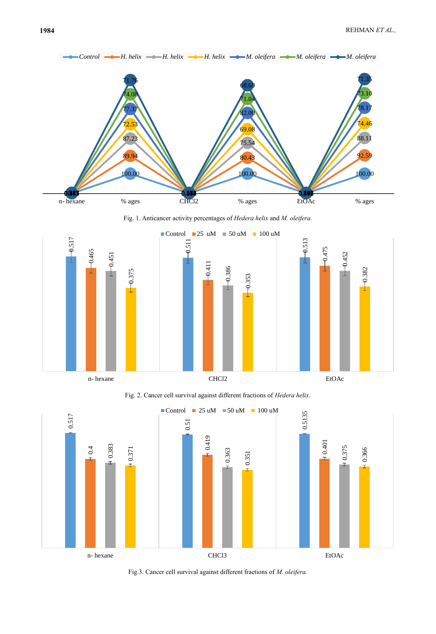

Fig. 1. Anticancer activity percentages of *Hedera helix* and *M. oleifera.*



Fig. 2. Cancer cell survival against different fractions of *Hedera helix*.



Fig.3. Cancer cell survival against different fractions of *M. oleifera.*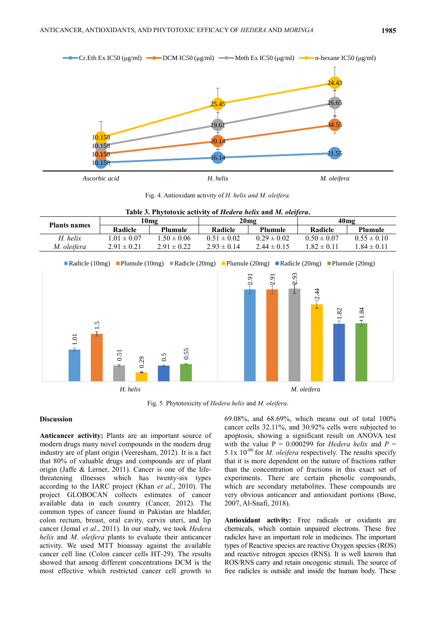

Fig. 4. Antioxidant activity of *H. helix and M. oleifera.*

| Table 3. Phytotoxic activity of <i>Hedera helix</i> and <i>M. oleifera.</i> |                 |                 |                 |                 |                 |                 |  |  |  |  |  |
|-----------------------------------------------------------------------------|-----------------|-----------------|-----------------|-----------------|-----------------|-----------------|--|--|--|--|--|
|                                                                             | 10mg            |                 | 20mg            |                 | 40mg            |                 |  |  |  |  |  |
| <b>Plants names</b>                                                         | Radicle         | Plumule         | Radicle         | <b>Plumule</b>  | Radicle         | <b>Plumule</b>  |  |  |  |  |  |
| H. helix                                                                    | $1.01 \pm 0.07$ | $1.50 \pm 0.06$ | $0.51 \pm 0.02$ | $0.29 \pm 0.02$ | $0.50 \pm 0.07$ | $0.55 \pm 0.10$ |  |  |  |  |  |

Radicle (10mg) Plumule (10mg) Radicle (20mg) Plumule (20mg) Radicle (20mg) Plumule (20mg)

*M. oleifera* 2.91  $\pm$  0.21 2.91  $\pm$  0.22 2.93  $\pm$  0.14 2.44  $\pm$  0.15 1.82  $\pm$  0.11 1.84  $\pm$  0.11



Fig. 5. Phytotoxicity of *Hedera helix* and *M. oleifera*.

## **Discussion**

**Anticancer activity:** Plants are an important source of modern drugs many novel compounds in the modern drug industry are of plant origin (Veeresham, 2012). It is a fact that 80% of valuable drugs and compounds are of plant origin (Jaffe & Lerner, 2011). Cancer is one of the lifethreatening illnesses which has twenty-six types according to the IARC project (Khan *et al.*, 2010). The project GLOBOCAN collects estimates of cancer available data in each country (Cancer, 2012). The common types of cancer found in Pakistan are bladder, colon rectum, breast, oral cavity, cervix uteri, and lip cancer (Jemal *et al.*, 2011). In our study, we took *Hedera helix* and *M. oleifera* plants to evaluate their anticancer activity. We used MTT bioassay against the available cancer cell line (Colon cancer cells HT-29). The results showed that among different concentrations DCM is the most effective which restricted cancer cell growth to

69.08%, and 68.69%, which means out of total 100% cancer cells 32.11%, and 30.92% cells were subjected to apoptosis, showing a significant result on ANOVA test with the value  $P = 0.000299$  for *Hedera helix* and  $P =$ 5.1x 10-06 for *M. oleifera* respectively. The results specify that it is more dependent on the nature of fractions rather than the concentration of fractions in this exact set of experiments. There are certain phenolic compounds, which are secondary metabolites. These compounds are very obvious anticancer and antioxidant portions (Bose, 2007, Al-Snafi, 2018).

**Antioxidant activity:** Free radicals or oxidants are chemicals, which contain unpaired electrons. These free radicles have an important role in medicines. The important types of Reactive species are reactive Oxygen species (ROS) and reactive nitrogen species (RNS). It is well known that ROS/RNS carry and retain oncogenic stimuli. The source of free radicles is outside and inside the human body. These